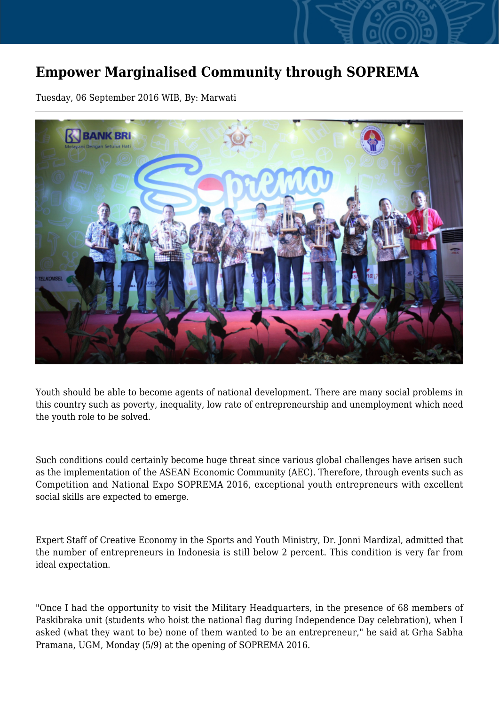## **Empower Marginalised Community through SOPREMA**

Tuesday, 06 September 2016 WIB, By: Marwati



Youth should be able to become agents of national development. There are many social problems in this country such as poverty, inequality, low rate of entrepreneurship and unemployment which need the youth role to be solved.

Such conditions could certainly become huge threat since various global challenges have arisen such as the implementation of the ASEAN Economic Community (AEC). Therefore, through events such as Competition and National Expo SOPREMA 2016, exceptional youth entrepreneurs with excellent social skills are expected to emerge.

Expert Staff of Creative Economy in the Sports and Youth Ministry, Dr. Jonni Mardizal, admitted that the number of entrepreneurs in Indonesia is still below 2 percent. This condition is very far from ideal expectation.

"Once I had the opportunity to visit the Military Headquarters, in the presence of 68 members of Paskibraka unit (students who hoist the national flag during Independence Day celebration), when I asked (what they want to be) none of them wanted to be an entrepreneur," he said at Grha Sabha Pramana, UGM, Monday (5/9) at the opening of SOPREMA 2016.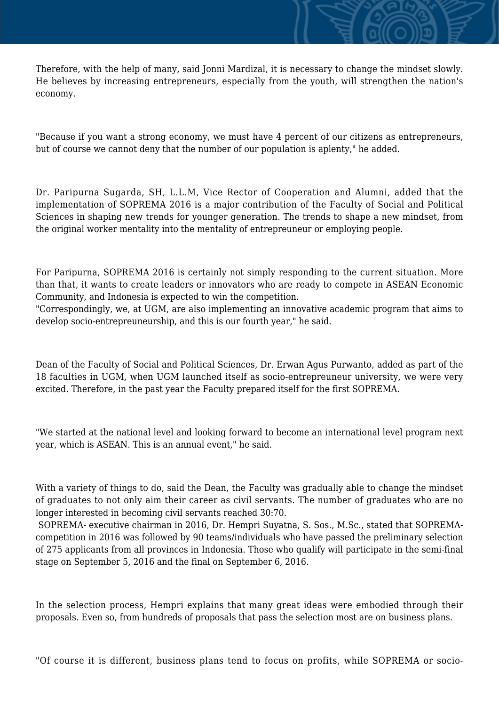Therefore, with the help of many, said Jonni Mardizal, it is necessary to change the mindset slowly. He believes by increasing entrepreneurs, especially from the youth, will strengthen the nation's economy.

"Because if you want a strong economy, we must have 4 percent of our citizens as entrepreneurs, but of course we cannot deny that the number of our population is aplenty," he added.

Dr. Paripurna Sugarda, SH, L.L.M, Vice Rector of Cooperation and Alumni, added that the implementation of SOPREMA 2016 is a major contribution of the Faculty of Social and Political Sciences in shaping new trends for younger generation. The trends to shape a new mindset, from the original worker mentality into the mentality of entrepreuneur or employing people.

For Paripurna, SOPREMA 2016 is certainly not simply responding to the current situation. More than that, it wants to create leaders or innovators who are ready to compete in ASEAN Economic Community, and Indonesia is expected to win the competition.

"Correspondingly, we, at UGM, are also implementing an innovative academic program that aims to develop socio-entrepreuneurship, and this is our fourth year," he said.

Dean of the Faculty of Social and Political Sciences, Dr. Erwan Agus Purwanto, added as part of the 18 faculties in UGM, when UGM launched itself as socio-entrepreuneur university, we were very excited. Therefore, in the past year the Faculty prepared itself for the first SOPREMA.

"We started at the national level and looking forward to become an international level program next year, which is ASEAN. This is an annual event," he said.

With a variety of things to do, said the Dean, the Faculty was gradually able to change the mindset of graduates to not only aim their career as civil servants. The number of graduates who are no longer interested in becoming civil servants reached 30:70.

 SOPREMA- executive chairman in 2016, Dr. Hempri Suyatna, S. Sos., M.Sc., stated that SOPREMAcompetition in 2016 was followed by 90 teams/individuals who have passed the preliminary selection of 275 applicants from all provinces in Indonesia. Those who qualify will participate in the semi-final stage on September 5, 2016 and the final on September 6, 2016.

In the selection process, Hempri explains that many great ideas were embodied through their proposals. Even so, from hundreds of proposals that pass the selection most are on business plans.